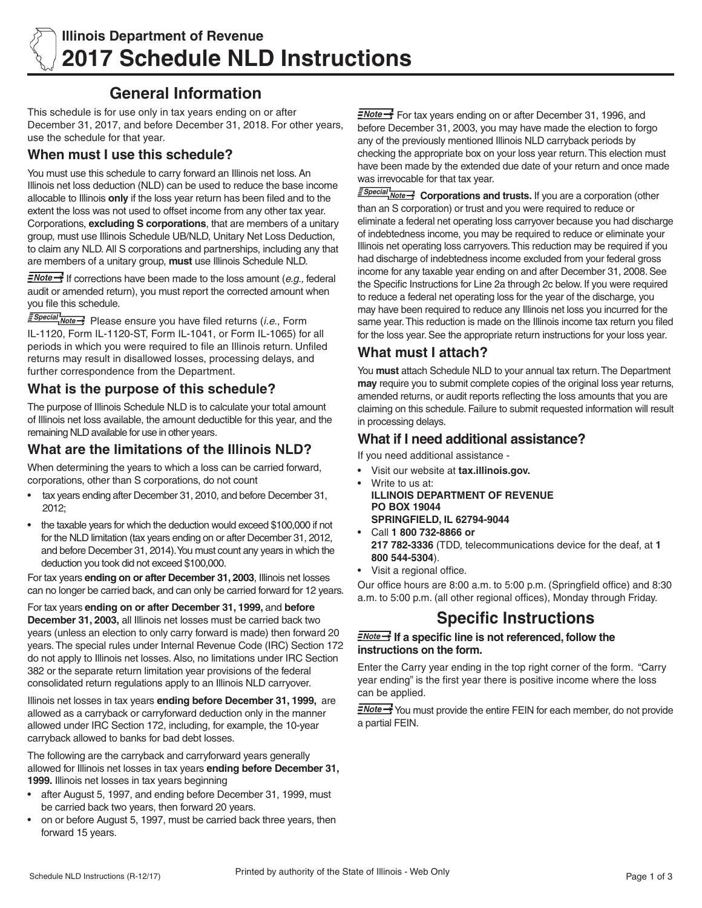

# **General Information**

This schedule is for use only in tax years ending on or after December 31, 2017, and before December 31, 2018. For other years, use the schedule for that year.

### **When must I use this schedule?**

You must use this schedule to carry forward an Illinois net loss. An Illinois net loss deduction (NLD) can be used to reduce the base income allocable to Illinois **only** if the loss year return has been filed and to the extent the loss was not used to offset income from any other tax year. Corporations, **excluding S corporations**, that are members of a unitary group, must use Illinois Schedule UB/NLD, Unitary Net Loss Deduction, to claim any NLD. All S corporations and partnerships, including any that are members of a unitary group, **must** use Illinois Schedule NLD.

**ENote** <sup>1</sup> If corrections have been made to the loss amount (*e.g.*, federal audit or amended return), you must report the corrected amount when you file this schedule.

Please ensure you have filed returns (*i.e.,* Form IL-1120, Form IL-1120-ST, Form IL-1041, or Form IL-1065) for all periods in which you were required to file an Illinois return. Unfiled returns may result in disallowed losses, processing delays, and further correspondence from the Department.

### **What is the purpose of this schedule?**

The purpose of Illinois Schedule NLD is to calculate your total amount of Illinois net loss available, the amount deductible for this year, and the remaining NLD available for use in other years.

### **What are the limitations of the Illinois NLD?**

When determining the years to which a loss can be carried forward, corporations, other than S corporations, do not count

- tax years ending after December 31, 2010, and before December 31, 2012;
- the taxable years for which the deduction would exceed \$100,000 if not for the NLD limitation (tax years ending on or after December 31, 2012, and before December 31, 2014). You must count any years in which the deduction you took did not exceed \$100,000.

For tax years **ending on or after December 31, 2003**, Illinois net losses can no longer be carried back, and can only be carried forward for 12 years.

For tax years **ending on or after December 31, 1999,** and **before December 31, 2003,** all Illinois net losses must be carried back two years (unless an election to only carry forward is made) then forward 20 years. The special rules under Internal Revenue Code (IRC) Section 172 do not apply to Illinois net losses. Also, no limitations under IRC Section 382 or the separate return limitation year provisions of the federal consolidated return regulations apply to an Illinois NLD carryover.

Illinois net losses in tax years **ending before December 31, 1999,** are allowed as a carryback or carryforward deduction only in the manner allowed under IRC Section 172, including, for example, the 10-year carryback allowed to banks for bad debt losses.

The following are the carryback and carryforward years generally allowed for Illinois net losses in tax years **ending before December 31, 1999.** Illinois net losses in tax years beginning

- after August 5, 1997, and ending before December 31, 1999, must be carried back two years, then forward 20 years.
- on or before August 5, 1997, must be carried back three years, then forward 15 years.

FNote > For tax years ending on or after December 31, 1996, and before December 31, 2003, you may have made the election to forgo any of the previously mentioned Illinois NLD carryback periods by checking the appropriate box on your loss year return. This election must have been made by the extended due date of your return and once made was irrevocable for that tax year.

**ESpecial** Note >>>>>>> Corporations and trusts. If you are a corporation (other than an S corporation) or trust and you were required to reduce or eliminate a federal net operating loss carryover because you had discharge of indebtedness income, you may be required to reduce or eliminate your Illinois net operating loss carryovers. This reduction may be required if you had discharge of indebtedness income excluded from your federal gross income for any taxable year ending on and after December 31, 2008. See the Specific Instructions for Line 2a through 2c below. If you were required to reduce a federal net operating loss for the year of the discharge, you may have been required to reduce any Illinois net loss you incurred for the same year. This reduction is made on the Illinois income tax return you filed for the loss year. See the appropriate return instructions for your loss year.

## **What must I attach?**

You **must** attach Schedule NLD to your annual tax return. The Department **may** require you to submit complete copies of the original loss year returns, amended returns, or audit reports reflecting the loss amounts that you are claiming on this schedule. Failure to submit requested information will result in processing delays.

### **What if I need additional assistance?**

If you need additional assistance -

- Visit our website at **tax.illinois.gov.**
- Write to us at: **ILLINOIS DEPARTMENT OF REVENUE PO BOX 19044 SPRINGFIELD, IL 62794-9044** • Call **1 800 732-8866 or**
- **217 782-3336** (TDD, telecommunications device for the deaf, at **1 800 544-5304**).
- • Visit a regional office.

Our office hours are 8:00 a.m. to 5:00 p.m. (Springfield office) and 8:30 a.m. to 5:00 p.m. (all other regional offices), Monday through Friday.

# **Specific Instructions**

#### **I**f a specific line is not referenced, follow the **instructions on the form.**

Enter the Carry year ending in the top right corner of the form. "Carry year ending" is the first year there is positive income where the loss can be applied.

**ENote** You must provide the entire FEIN for each member, do not provide a partial FEIN.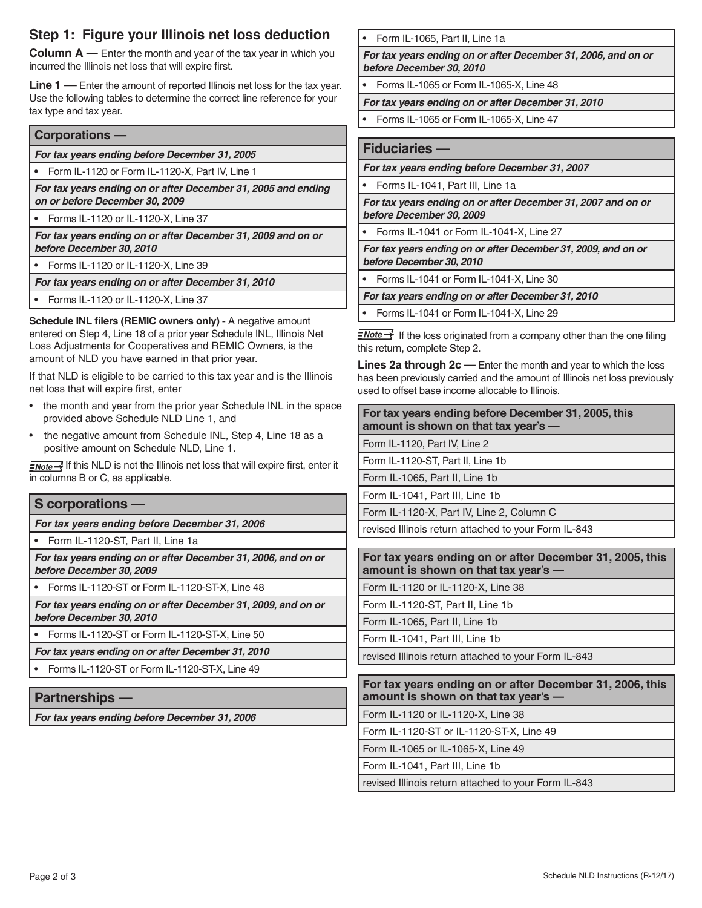## **Step 1: Figure your Illinois net loss deduction**

**Column A** — Enter the month and year of the tax year in which you incurred the Illinois net loss that will expire first.

**Line 1** — Enter the amount of reported Illinois net loss for the tax year. Use the following tables to determine the correct line reference for your tax type and tax year.

| <b>Corporations -</b>                         |                                                                                                                                                                                                                                                                |  |  |  |  |
|-----------------------------------------------|----------------------------------------------------------------------------------------------------------------------------------------------------------------------------------------------------------------------------------------------------------------|--|--|--|--|
| For tax years ending before December 31, 2005 |                                                                                                                                                                                                                                                                |  |  |  |  |
|                                               | Form IL-1120 or Form IL-1120-X, Part IV, Line 1                                                                                                                                                                                                                |  |  |  |  |
|                                               | For tax years ending on or after December 31, 2005 and ending<br>on or before December 30, 2009                                                                                                                                                                |  |  |  |  |
|                                               | Forms IL-1120 or IL-1120-X, Line 37                                                                                                                                                                                                                            |  |  |  |  |
|                                               | For tax years ending on or after December 31, 2009 and on or<br>before December 30, 2010                                                                                                                                                                       |  |  |  |  |
|                                               | Forms IL-1120 or IL-1120-X, Line 39                                                                                                                                                                                                                            |  |  |  |  |
|                                               | For tax years ending on or after December 31, 2010                                                                                                                                                                                                             |  |  |  |  |
|                                               | Forms IL-1120 or IL-1120-X, Line 37                                                                                                                                                                                                                            |  |  |  |  |
|                                               | <b>Schedule INL filers (REMIC owners only) - A negative amount</b><br>entered on Step 4, Line 18 of a prior year Schedule INL, Illinois Net<br>Loss Adjustments for Cooperatives and REMIC Owners, is the<br>amount of NLD you have earned in that prior year. |  |  |  |  |
|                                               | If that NLD is eligible to be carried to this tax year and is the Illinois<br>net loss that will expire first, enter                                                                                                                                           |  |  |  |  |

- the month and year from the prior year Schedule INL in the space provided above Schedule NLD Line 1, and
- the negative amount from Schedule INL, Step 4, Line 18 as a positive amount on Schedule NLD, Line 1.

 $\frac{1}{2\text{Note}}$  If this NLD is not the Illinois net loss that will expire first, enter it in columns B or C, as applicable.

### **S corporations —**

*For tax years ending before December 31, 2006*

• Form IL-1120-ST, Part II, Line 1a

*For tax years ending on or after December 31, 2006, and on or before December 30, 2009*

• Forms IL-1120-ST or Form IL-1120-ST-X, Line 48

*For tax years ending on or after December 31, 2009, and on or before December 30, 2010*

• Forms IL-1120-ST or Form IL-1120-ST-X, Line 50

*For tax years ending on or after December 31, 2010*

Forms IL-1120-ST or Form IL-1120-ST-X, Line 49

**Partnerships —**

*For tax years ending before December 31, 2006*

Form IL-1065, Part II, Line 1a

*For tax years ending on or after December 31, 2006, and on or before December 30, 2010*

Forms IL-1065 or Form IL-1065-X, Line 48

*For tax years ending on or after December 31, 2010*

Forms IL-1065 or Form IL-1065-X, Line 47

#### **Fiduciaries —**

*For tax years ending before December 31, 2007*

Forms IL-1041, Part III, Line 1a

*For tax years ending on or after December 31, 2007 and on or before December 30, 2009*

Forms IL-1041 or Form IL-1041-X, Line 27

*For tax years ending on or after December 31, 2009, and on or before December 30, 2010*

Forms IL-1041 or Form IL-1041-X, Line 30

*For tax years ending on or after December 31, 2010*

Forms IL-1041 or Form IL-1041-X, Line 29

 $\frac{Note}{\rightarrow}$  If the loss originated from a company other than the one filing his return, complete Step 2.

**Lines 2a through 2c** — Enter the month and year to which the loss as been previously carried and the amount of Illinois net loss previously used to offset base income allocable to Illinois.

**For tax years ending before December 31, 2005, this amount is shown on that tax year's —**

Form IL-1120, Part IV, Line 2

Form IL-1120-ST, Part II, Line 1b

Form IL-1065, Part II, Line 1b

Form IL-1041, Part III, Line 1b

Form IL-1120-X, Part IV, Line 2, Column C

revised Illinois return attached to your Form IL-843

**For tax years ending on or after December 31, 2005, this amount is shown on that tax year's —**

Form IL-1120 or IL-1120-X, Line 38

Form IL-1120-ST, Part II, Line 1b

Form IL-1065, Part II, Line 1b

Form IL-1041, Part III, Line 1b

revised Illinois return attached to your Form IL-843

**For tax years ending on or after December 31, 2006, this amount is shown on that tax year's —**

Form IL-1120 or IL-1120-X, Line 38

Form IL-1120-ST or IL-1120-ST-X, Line 49

Form IL-1065 or IL-1065-X, Line 49

Form IL-1041, Part III, Line 1b

revised Illinois return attached to your Form IL-843